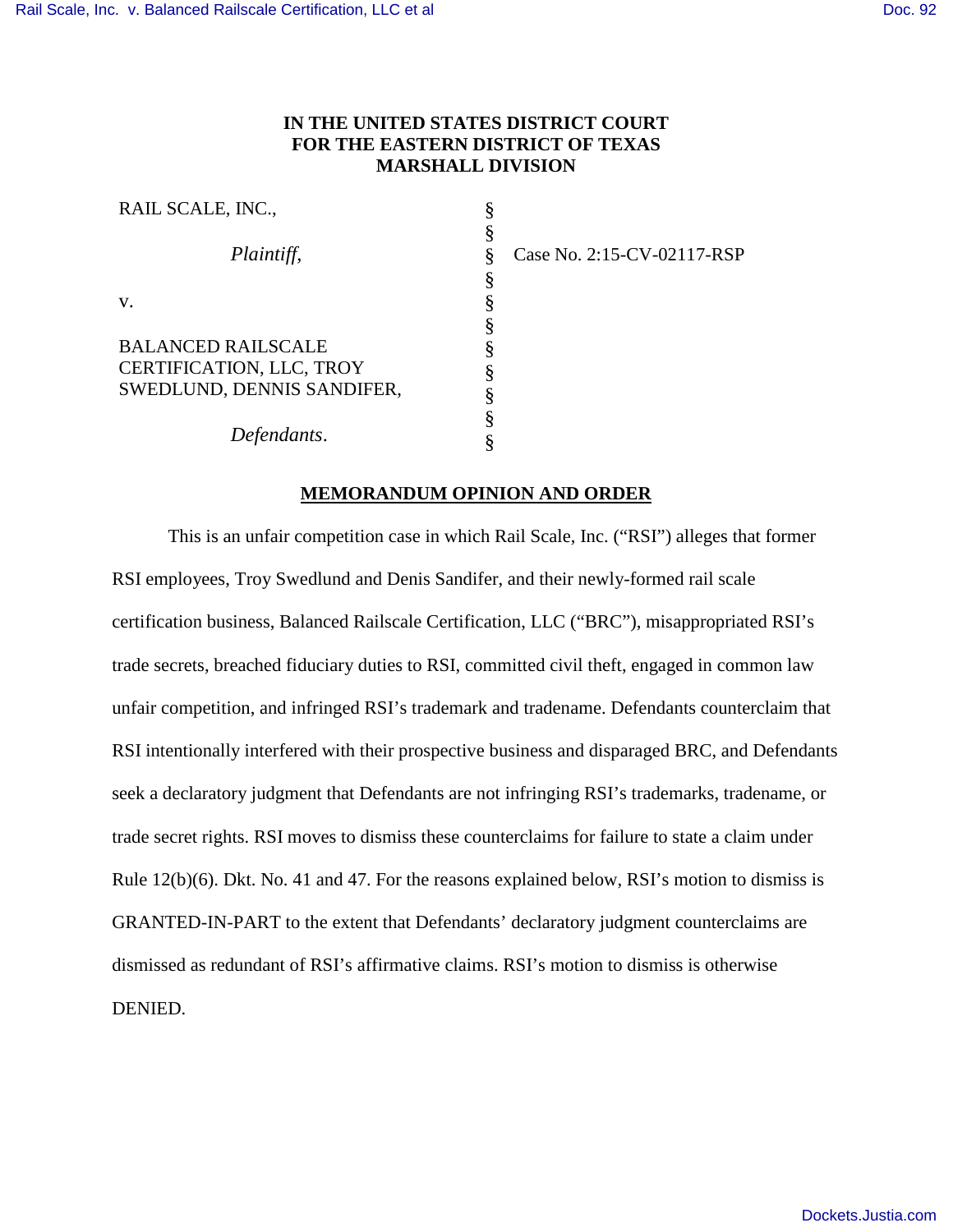# **IN THE UNITED STATES DISTRICT COURT FOR THE EASTERN DISTRICT OF TEXAS MARSHALL DIVISION**

| RAIL SCALE, INC.,          |   |
|----------------------------|---|
|                            |   |
| Plaintiff,                 | § |
|                            | ş |
| $V_{\cdot}$                | ş |
|                            | ş |
| BALANCED RAILSCALE         | ş |
| CERTIFICATION, LLC, TROY   |   |
| SWEDLUND, DENNIS SANDIFER, |   |
|                            | ş |
| Defendants.                |   |

Case No. 2:15-CV-02117-RSP

# **MEMORANDUM OPINION AND ORDER**

This is an unfair competition case in which Rail Scale, Inc. ("RSI") alleges that former RSI employees, Troy Swedlund and Denis Sandifer, and their newly-formed rail scale certification business, Balanced Railscale Certification, LLC ("BRC"), misappropriated RSI's trade secrets, breached fiduciary duties to RSI, committed civil theft, engaged in common law unfair competition, and infringed RSI's trademark and tradename. Defendants counterclaim that RSI intentionally interfered with their prospective business and disparaged BRC, and Defendants seek a declaratory judgment that Defendants are not infringing RSI's trademarks, tradename, or trade secret rights. RSI moves to dismiss these counterclaims for failure to state a claim under Rule 12(b)(6). Dkt. No. 41 and 47. For the reasons explained below, RSI's motion to dismiss is GRANTED-IN-PART to the extent that Defendants' declaratory judgment counterclaims are dismissed as redundant of RSI's affirmative claims. RSI's motion to dismiss is otherwise DENIED.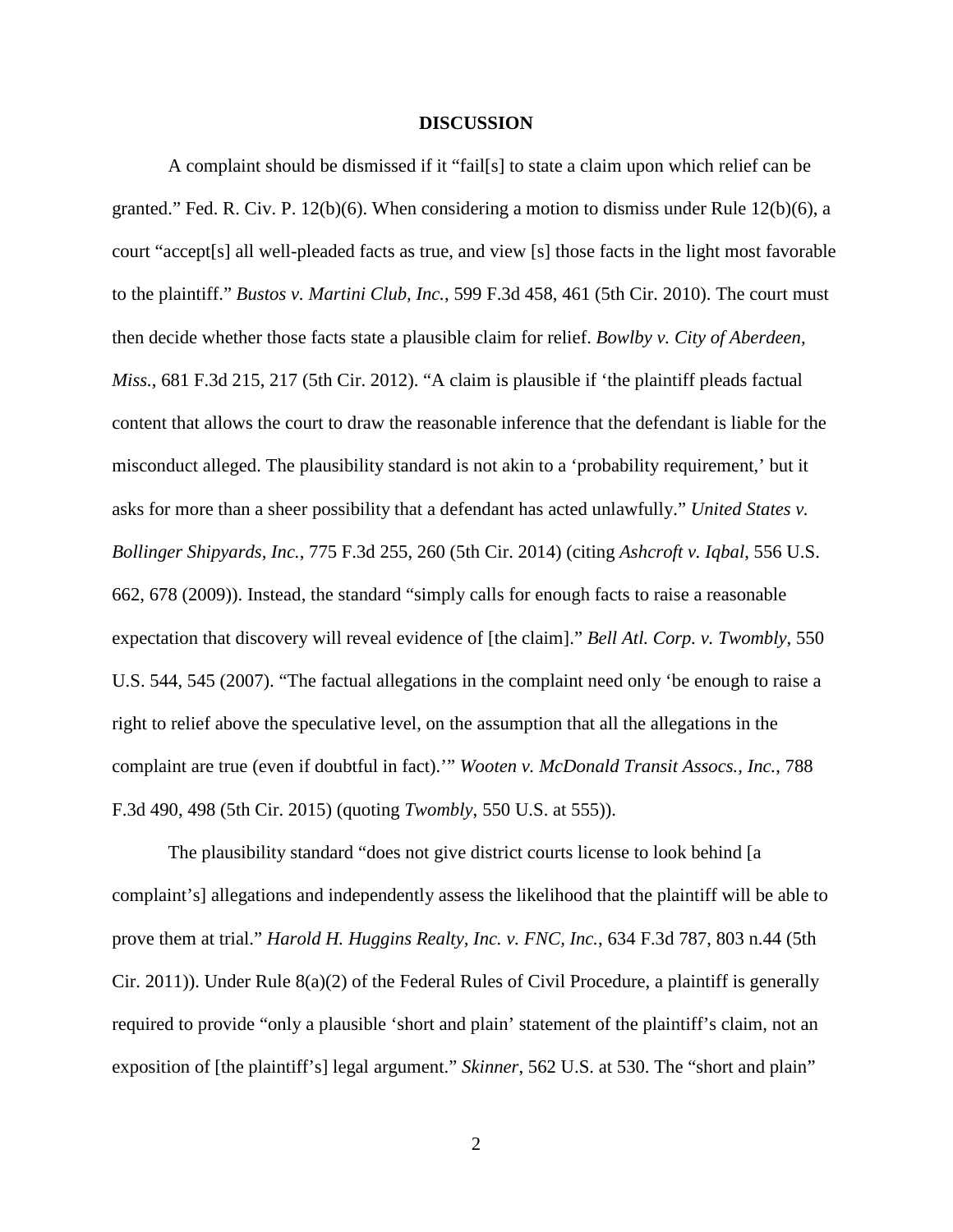## **DISCUSSION**

A complaint should be dismissed if it "fail[s] to state a claim upon which relief can be granted." Fed. R. Civ. P. 12(b)(6). When considering a motion to dismiss under Rule 12(b)(6), a court "accept[s] all well-pleaded facts as true, and view [s] those facts in the light most favorable to the plaintiff." *Bustos v. Martini Club, Inc.*, 599 F.3d 458, 461 (5th Cir. 2010). The court must then decide whether those facts state a plausible claim for relief. *Bowlby v. City of Aberdeen, Miss.*, 681 F.3d 215, 217 (5th Cir. 2012). "A claim is plausible if 'the plaintiff pleads factual content that allows the court to draw the reasonable inference that the defendant is liable for the misconduct alleged. The plausibility standard is not akin to a 'probability requirement,' but it asks for more than a sheer possibility that a defendant has acted unlawfully." *United States v. Bollinger Shipyards, Inc.*, 775 F.3d 255, 260 (5th Cir. 2014) (citing *Ashcroft v. Iqbal*, 556 U.S. 662, 678 (2009)). Instead, the standard "simply calls for enough facts to raise a reasonable expectation that discovery will reveal evidence of [the claim]." *Bell Atl. Corp. v. Twombly*, 550 U.S. 544, 545 (2007). "The factual allegations in the complaint need only 'be enough to raise a right to relief above the speculative level, on the assumption that all the allegations in the complaint are true (even if doubtful in fact).'" *Wooten v. McDonald Transit Assocs., Inc.*, 788 F.3d 490, 498 (5th Cir. 2015) (quoting *Twombly*, 550 U.S. at 555)).

The plausibility standard "does not give district courts license to look behind [a complaint's] allegations and independently assess the likelihood that the plaintiff will be able to prove them at trial." *Harold H. Huggins Realty, Inc. v. FNC, Inc.*, 634 F.3d 787, 803 n.44 (5th Cir. 2011)). Under Rule 8(a)(2) of the Federal Rules of Civil Procedure, a plaintiff is generally required to provide "only a plausible 'short and plain' statement of the plaintiff's claim, not an exposition of [the plaintiff's] legal argument." *Skinner*, 562 U.S. at 530. The "short and plain"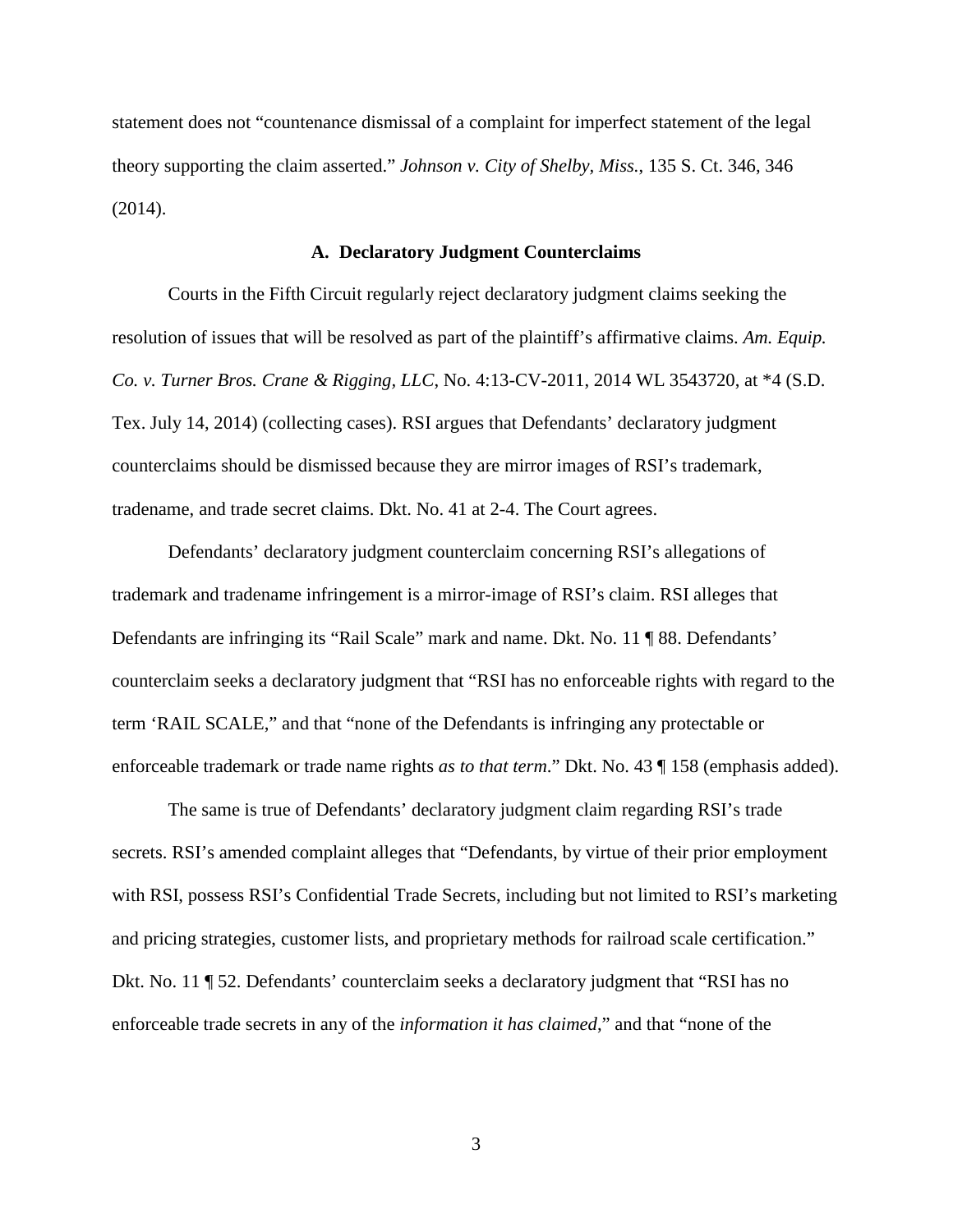statement does not "countenance dismissal of a complaint for imperfect statement of the legal theory supporting the claim asserted." *Johnson v. City of Shelby, Miss.*, 135 S. Ct. 346, 346 (2014).

# **A. Declaratory Judgment Counterclaims**

Courts in the Fifth Circuit regularly reject declaratory judgment claims seeking the resolution of issues that will be resolved as part of the plaintiff's affirmative claims. *Am. Equip. Co. v. Turner Bros. Crane & Rigging, LLC*, No. 4:13-CV-2011, 2014 WL 3543720, at \*4 (S.D. Tex. July 14, 2014) (collecting cases). RSI argues that Defendants' declaratory judgment counterclaims should be dismissed because they are mirror images of RSI's trademark, tradename, and trade secret claims. Dkt. No. 41 at 2-4. The Court agrees.

Defendants' declaratory judgment counterclaim concerning RSI's allegations of trademark and tradename infringement is a mirror-image of RSI's claim. RSI alleges that Defendants are infringing its "Rail Scale" mark and name. Dkt. No. 11 ¶ 88. Defendants' counterclaim seeks a declaratory judgment that "RSI has no enforceable rights with regard to the term 'RAIL SCALE," and that "none of the Defendants is infringing any protectable or enforceable trademark or trade name rights *as to that term*." Dkt. No. 43 ¶ 158 (emphasis added).

The same is true of Defendants' declaratory judgment claim regarding RSI's trade secrets. RSI's amended complaint alleges that "Defendants, by virtue of their prior employment with RSI, possess RSI's Confidential Trade Secrets, including but not limited to RSI's marketing and pricing strategies, customer lists, and proprietary methods for railroad scale certification." Dkt. No. 11 ¶ 52. Defendants' counterclaim seeks a declaratory judgment that "RSI has no enforceable trade secrets in any of the *information it has claimed*," and that "none of the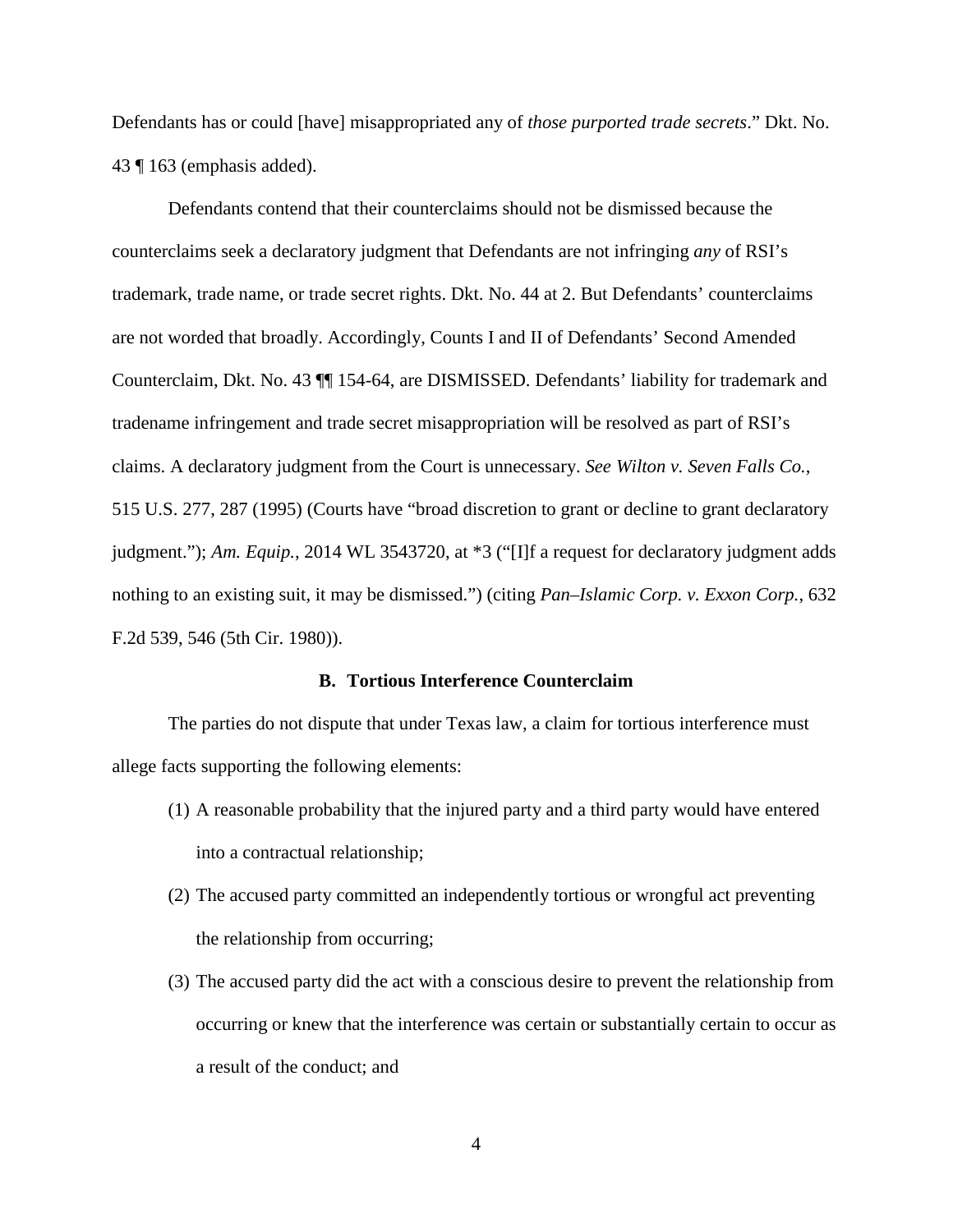Defendants has or could [have] misappropriated any of *those purported trade secrets*." Dkt. No. 43 ¶ 163 (emphasis added).

Defendants contend that their counterclaims should not be dismissed because the counterclaims seek a declaratory judgment that Defendants are not infringing *any* of RSI's trademark, trade name, or trade secret rights. Dkt. No. 44 at 2. But Defendants' counterclaims are not worded that broadly. Accordingly, Counts I and II of Defendants' Second Amended Counterclaim, Dkt. No. 43 ¶¶ 154-64, are DISMISSED. Defendants' liability for trademark and tradename infringement and trade secret misappropriation will be resolved as part of RSI's claims. A declaratory judgment from the Court is unnecessary. *See Wilton v. Seven Falls Co.*, 515 U.S. 277, 287 (1995) (Courts have "broad discretion to grant or decline to grant declaratory judgment."); *Am. Equip.*, 2014 WL 3543720, at \*3 ("[I]f a request for declaratory judgment adds nothing to an existing suit, it may be dismissed.") (citing *Pan–Islamic Corp. v. Exxon Corp.*, 632 F.2d 539, 546 (5th Cir. 1980)).

#### **B. Tortious Interference Counterclaim**

The parties do not dispute that under Texas law, a claim for tortious interference must allege facts supporting the following elements:

- (1) A reasonable probability that the injured party and a third party would have entered into a contractual relationship;
- (2) The accused party committed an independently tortious or wrongful act preventing the relationship from occurring;
- (3) The accused party did the act with a conscious desire to prevent the relationship from occurring or knew that the interference was certain or substantially certain to occur as a result of the conduct; and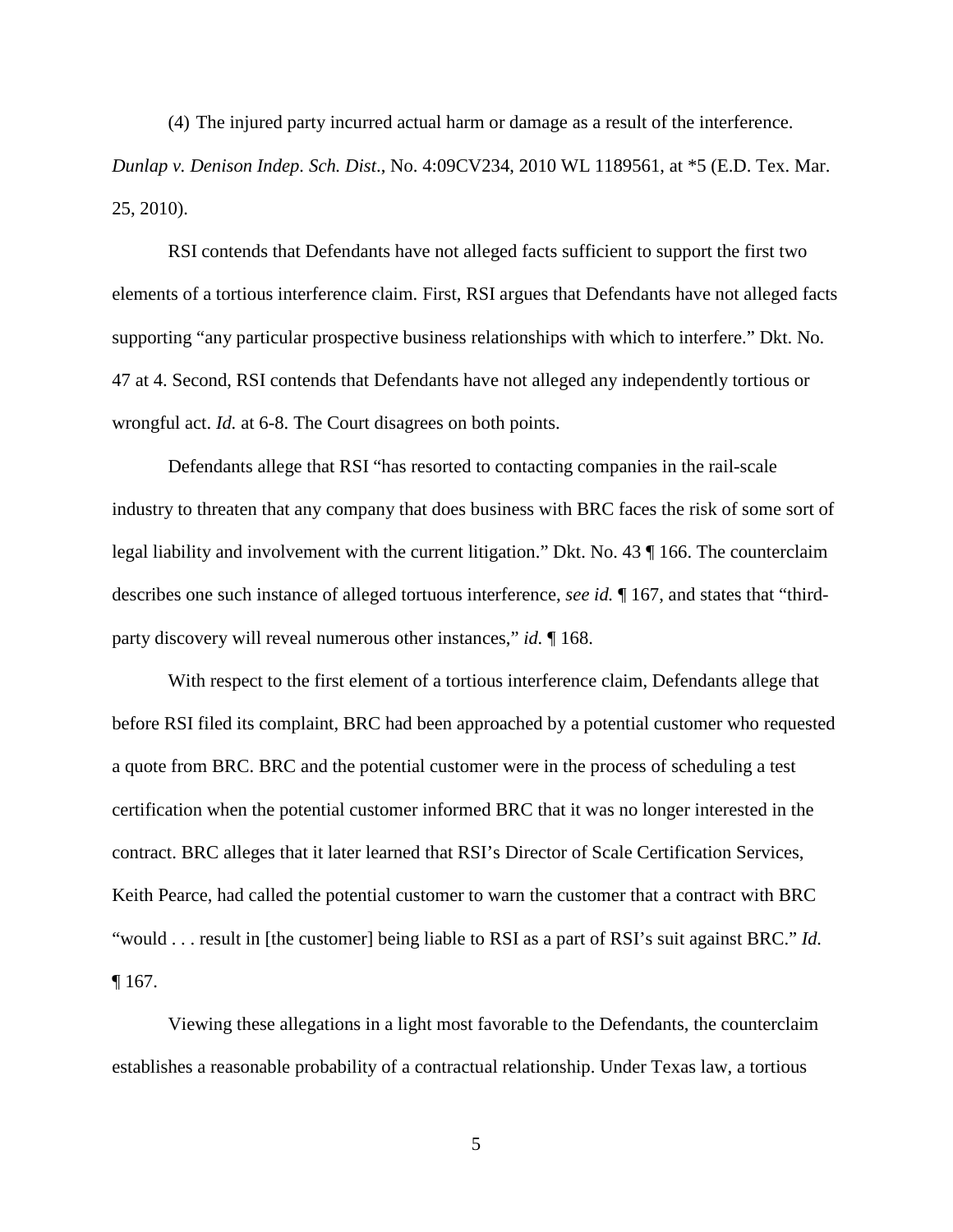(4) The injured party incurred actual harm or damage as a result of the interference. *Dunlap v. Denison Indep. Sch. Dist*., No. 4:09CV234, 2010 WL 1189561, at \*5 (E.D. Tex. Mar. 25, 2010).

RSI contends that Defendants have not alleged facts sufficient to support the first two elements of a tortious interference claim. First, RSI argues that Defendants have not alleged facts supporting "any particular prospective business relationships with which to interfere." Dkt. No. 47 at 4. Second, RSI contends that Defendants have not alleged any independently tortious or wrongful act. *Id.* at 6-8. The Court disagrees on both points.

Defendants allege that RSI "has resorted to contacting companies in the rail-scale industry to threaten that any company that does business with BRC faces the risk of some sort of legal liability and involvement with the current litigation." Dkt. No. 43 ¶ 166. The counterclaim describes one such instance of alleged tortuous interference, *see id.* ¶ 167, and states that "thirdparty discovery will reveal numerous other instances," *id.* ¶ 168.

With respect to the first element of a tortious interference claim, Defendants allege that before RSI filed its complaint, BRC had been approached by a potential customer who requested a quote from BRC. BRC and the potential customer were in the process of scheduling a test certification when the potential customer informed BRC that it was no longer interested in the contract. BRC alleges that it later learned that RSI's Director of Scale Certification Services, Keith Pearce, had called the potential customer to warn the customer that a contract with BRC "would . . . result in [the customer] being liable to RSI as a part of RSI's suit against BRC." *Id.* ¶ 167.

Viewing these allegations in a light most favorable to the Defendants, the counterclaim establishes a reasonable probability of a contractual relationship. Under Texas law, a tortious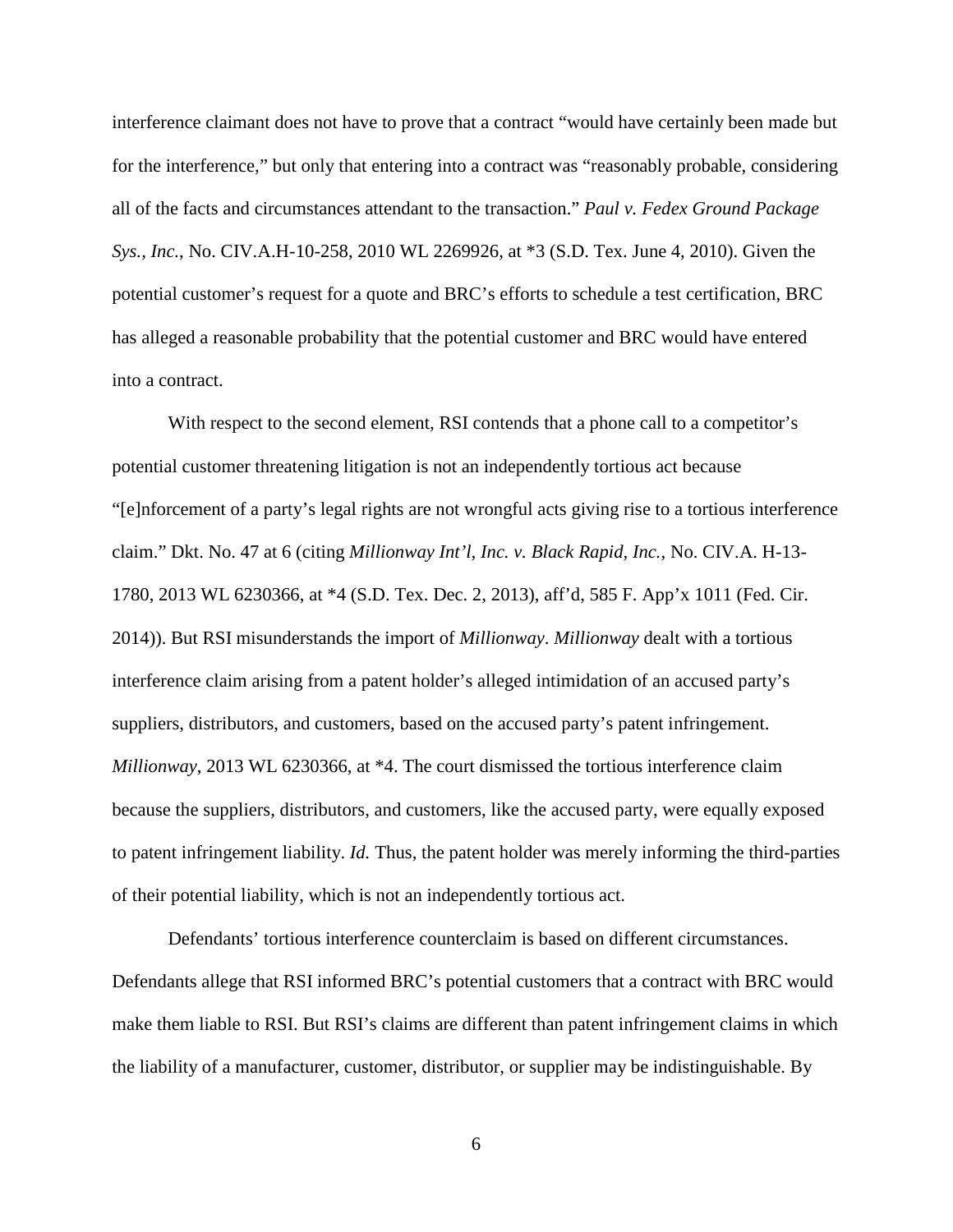interference claimant does not have to prove that a contract "would have certainly been made but for the interference," but only that entering into a contract was "reasonably probable, considering all of the facts and circumstances attendant to the transaction." *Paul v. Fedex Ground Package Sys., Inc.*, No. CIV.A.H-10-258, 2010 WL 2269926, at \*3 (S.D. Tex. June 4, 2010). Given the potential customer's request for a quote and BRC's efforts to schedule a test certification, BRC has alleged a reasonable probability that the potential customer and BRC would have entered into a contract.

With respect to the second element, RSI contends that a phone call to a competitor's potential customer threatening litigation is not an independently tortious act because "[e]nforcement of a party's legal rights are not wrongful acts giving rise to a tortious interference claim." Dkt. No. 47 at 6 (citing *Millionway Int'l, Inc. v. Black Rapid, Inc.*, No. CIV.A. H-13- 1780, 2013 WL 6230366, at \*4 (S.D. Tex. Dec. 2, 2013), aff'd, 585 F. App'x 1011 (Fed. Cir. 2014)). But RSI misunderstands the import of *Millionway*. *Millionway* dealt with a tortious interference claim arising from a patent holder's alleged intimidation of an accused party's suppliers, distributors, and customers, based on the accused party's patent infringement. *Millionway*, 2013 WL 6230366, at \*4. The court dismissed the tortious interference claim because the suppliers, distributors, and customers, like the accused party, were equally exposed to patent infringement liability. *Id.* Thus, the patent holder was merely informing the third-parties of their potential liability, which is not an independently tortious act.

Defendants' tortious interference counterclaim is based on different circumstances. Defendants allege that RSI informed BRC's potential customers that a contract with BRC would make them liable to RSI. But RSI's claims are different than patent infringement claims in which the liability of a manufacturer, customer, distributor, or supplier may be indistinguishable. By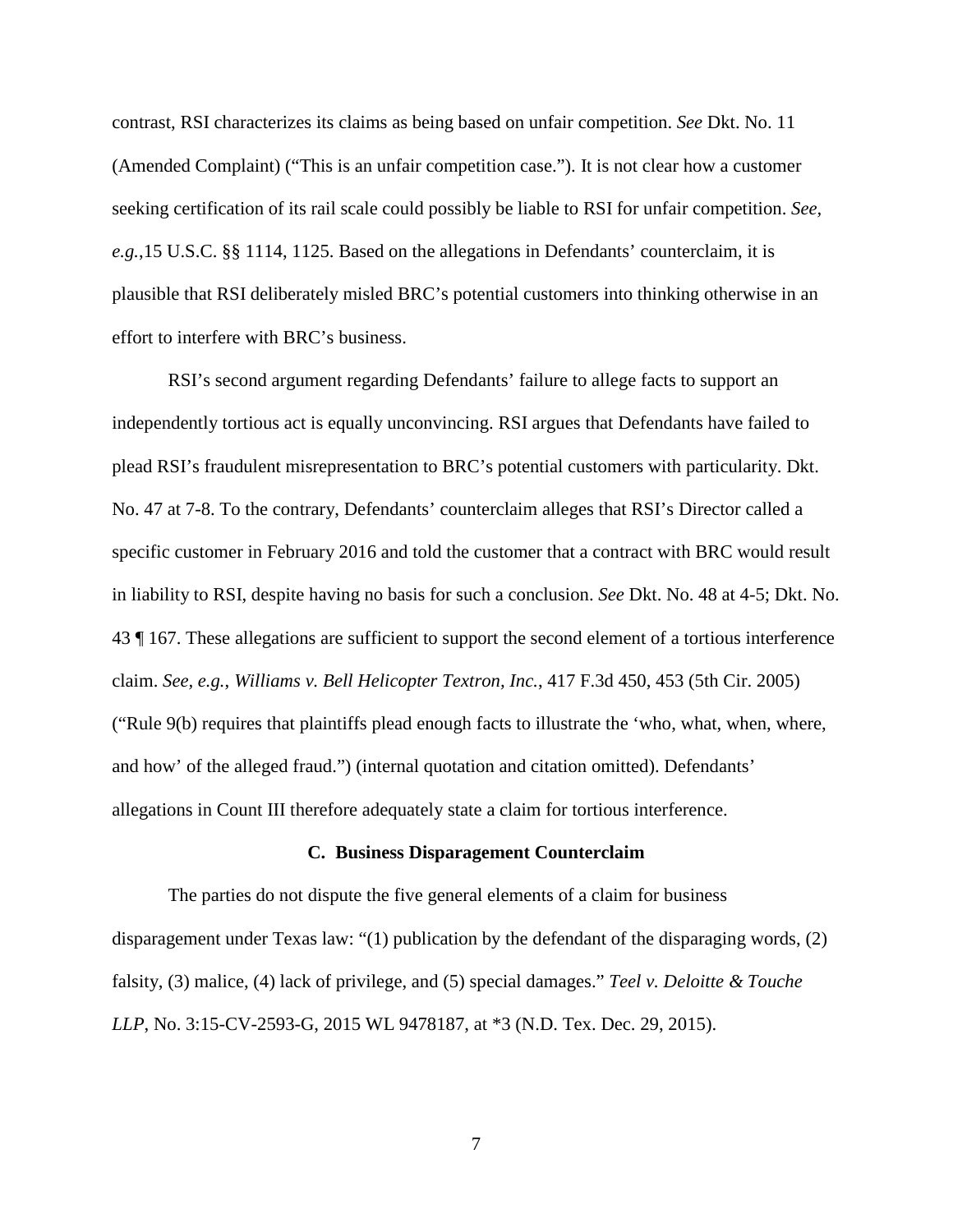contrast, RSI characterizes its claims as being based on unfair competition. *See* Dkt. No. 11 (Amended Complaint) ("This is an unfair competition case."). It is not clear how a customer seeking certification of its rail scale could possibly be liable to RSI for unfair competition. *See, e.g.*,15 U.S.C. §§ 1114, 1125. Based on the allegations in Defendants' counterclaim, it is plausible that RSI deliberately misled BRC's potential customers into thinking otherwise in an effort to interfere with BRC's business.

RSI's second argument regarding Defendants' failure to allege facts to support an independently tortious act is equally unconvincing. RSI argues that Defendants have failed to plead RSI's fraudulent misrepresentation to BRC's potential customers with particularity. Dkt. No. 47 at 7-8. To the contrary, Defendants' counterclaim alleges that RSI's Director called a specific customer in February 2016 and told the customer that a contract with BRC would result in liability to RSI, despite having no basis for such a conclusion. *See* Dkt. No. 48 at 4-5; Dkt. No. 43 ¶ 167. These allegations are sufficient to support the second element of a tortious interference claim. *See, e.g.*, *Williams v. Bell Helicopter Textron, Inc.*, 417 F.3d 450, 453 (5th Cir. 2005) ("Rule 9(b) requires that plaintiffs plead enough facts to illustrate the 'who, what, when, where, and how' of the alleged fraud.") (internal quotation and citation omitted). Defendants' allegations in Count III therefore adequately state a claim for tortious interference.

# **C. Business Disparagement Counterclaim**

The parties do not dispute the five general elements of a claim for business disparagement under Texas law: "(1) publication by the defendant of the disparaging words, (2) falsity, (3) malice, (4) lack of privilege, and (5) special damages." *Teel v. Deloitte & Touche LLP*, No. 3:15-CV-2593-G, 2015 WL 9478187, at \*3 (N.D. Tex. Dec. 29, 2015).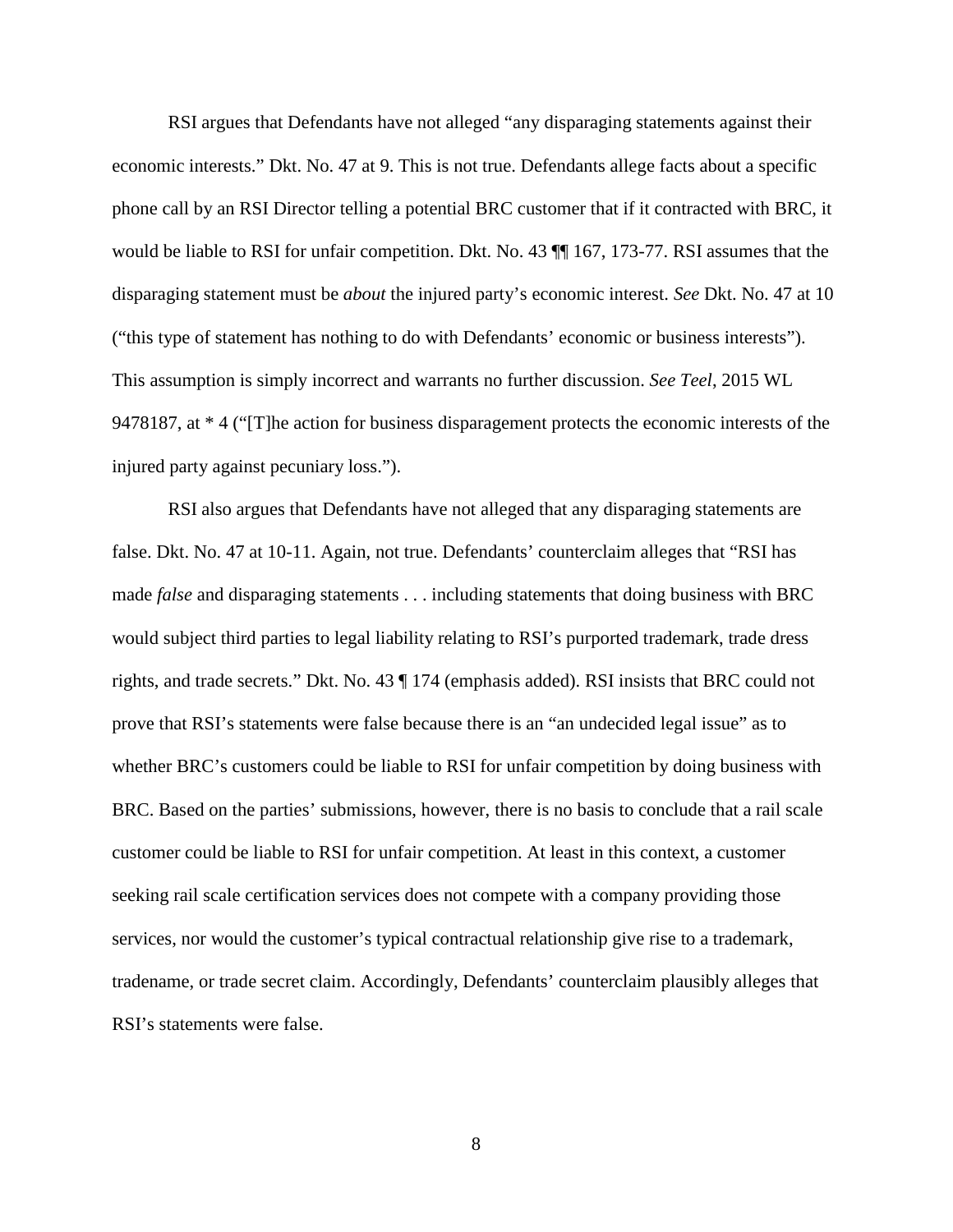RSI argues that Defendants have not alleged "any disparaging statements against their economic interests." Dkt. No. 47 at 9. This is not true. Defendants allege facts about a specific phone call by an RSI Director telling a potential BRC customer that if it contracted with BRC, it would be liable to RSI for unfair competition. Dkt. No. 43 ¶¶ 167, 173-77. RSI assumes that the disparaging statement must be *about* the injured party's economic interest. *See* Dkt. No. 47 at 10 ("this type of statement has nothing to do with Defendants' economic or business interests"). This assumption is simply incorrect and warrants no further discussion. *See Teel*, 2015 WL 9478187, at \* 4 ("[T]he action for business disparagement protects the economic interests of the injured party against pecuniary loss.").

RSI also argues that Defendants have not alleged that any disparaging statements are false. Dkt. No. 47 at 10-11. Again, not true. Defendants' counterclaim alleges that "RSI has made *false* and disparaging statements . . . including statements that doing business with BRC would subject third parties to legal liability relating to RSI's purported trademark, trade dress rights, and trade secrets." Dkt. No. 43 ¶ 174 (emphasis added). RSI insists that BRC could not prove that RSI's statements were false because there is an "an undecided legal issue" as to whether BRC's customers could be liable to RSI for unfair competition by doing business with BRC. Based on the parties' submissions, however, there is no basis to conclude that a rail scale customer could be liable to RSI for unfair competition. At least in this context, a customer seeking rail scale certification services does not compete with a company providing those services, nor would the customer's typical contractual relationship give rise to a trademark, tradename, or trade secret claim. Accordingly, Defendants' counterclaim plausibly alleges that RSI's statements were false.